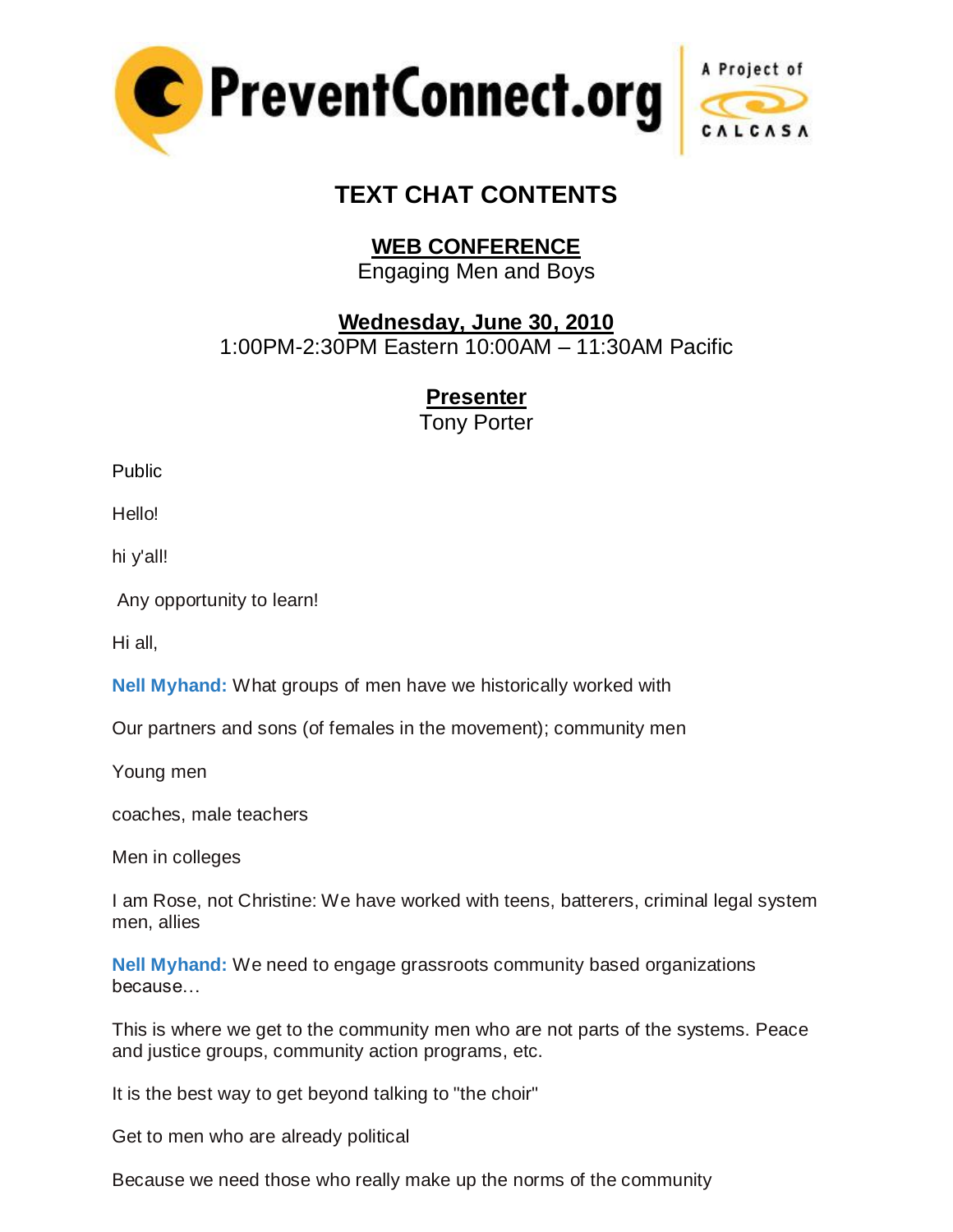



## **TEXT CHAT CONTENTS**

## **WEB CONFERENCE**

Engaging Men and Boys

**Wednesday, June 30, 2010**

1:00PM-2:30PM Eastern 10:00AM – 11:30AM Pacific

**Presenter**

Tony Porter

Public

Hello!

hi y'all!

Any opportunity to learn!

Hi all,

**Nell Myhand:** What groups of men have we historically worked with

Our partners and sons (of females in the movement); community men

Young men

coaches, male teachers

Men in colleges

I am Rose, not Christine: We have worked with teens, batterers, criminal legal system men, allies

**Nell Myhand:** We need to engage grassroots community based organizations because…

This is where we get to the community men who are not parts of the systems. Peace and justice groups, community action programs, etc.

It is the best way to get beyond talking to "the choir"

Get to men who are already political

Because we need those who really make up the norms of the community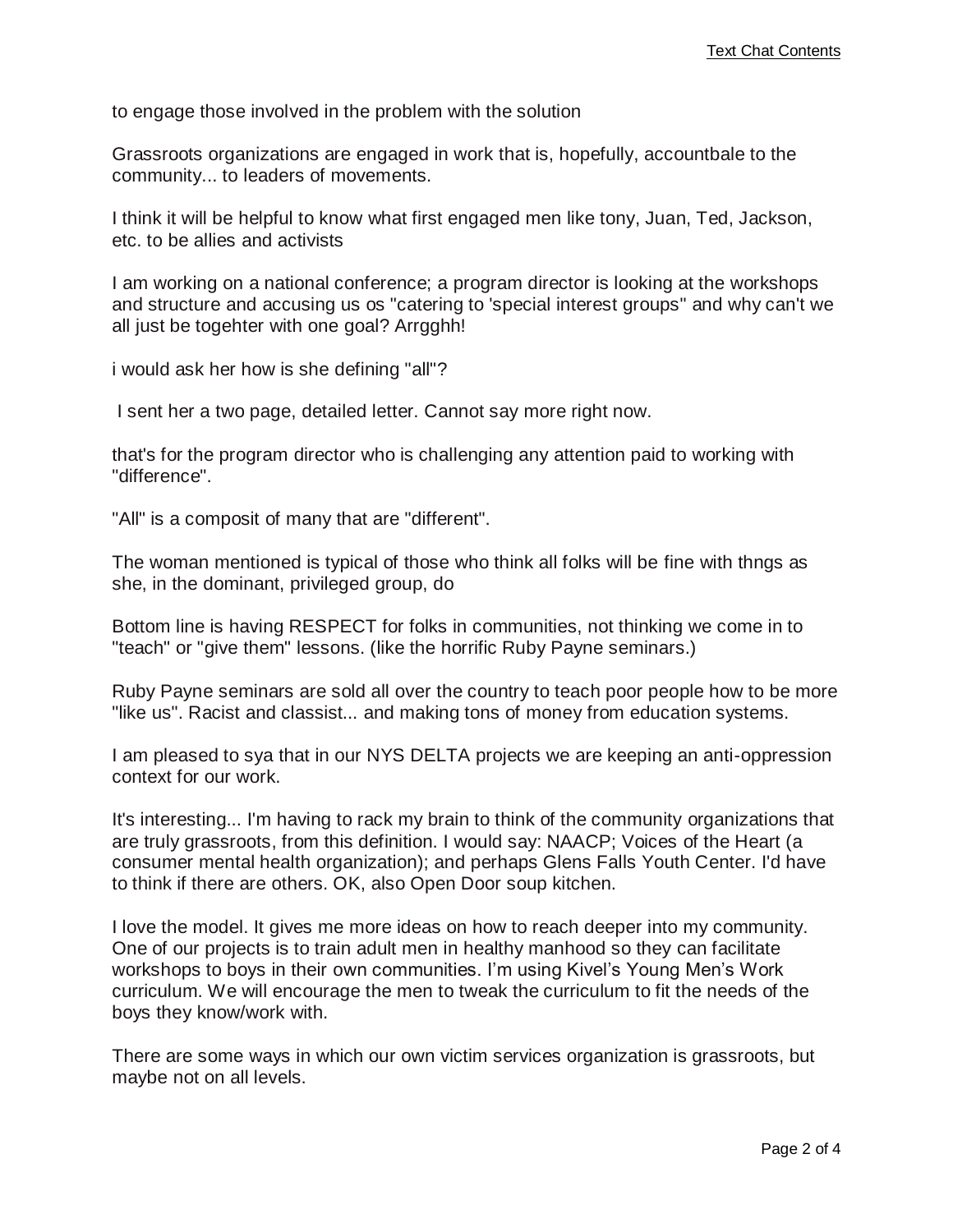to engage those involved in the problem with the solution

Grassroots organizations are engaged in work that is, hopefully, accountbale to the community... to leaders of movements.

I think it will be helpful to know what first engaged men like tony, Juan, Ted, Jackson, etc. to be allies and activists

I am working on a national conference; a program director is looking at the workshops and structure and accusing us os "catering to 'special interest groups" and why can't we all just be togehter with one goal? Arrgghh!

i would ask her how is she defining "all"?

I sent her a two page, detailed letter. Cannot say more right now.

that's for the program director who is challenging any attention paid to working with "difference".

"All" is a composit of many that are "different".

The woman mentioned is typical of those who think all folks will be fine with thngs as she, in the dominant, privileged group, do

Bottom line is having RESPECT for folks in communities, not thinking we come in to "teach" or "give them" lessons. (like the horrific Ruby Payne seminars.)

Ruby Payne seminars are sold all over the country to teach poor people how to be more "like us". Racist and classist... and making tons of money from education systems.

I am pleased to sya that in our NYS DELTA projects we are keeping an anti-oppression context for our work.

It's interesting... I'm having to rack my brain to think of the community organizations that are truly grassroots, from this definition. I would say: NAACP; Voices of the Heart (a consumer mental health organization); and perhaps Glens Falls Youth Center. I'd have to think if there are others. OK, also Open Door soup kitchen.

I love the model. It gives me more ideas on how to reach deeper into my community. One of our projects is to train adult men in healthy manhood so they can facilitate workshops to boys in their own communities. I'm using Kivel's Young Men's Work curriculum. We will encourage the men to tweak the curriculum to fit the needs of the boys they know/work with.

There are some ways in which our own victim services organization is grassroots, but maybe not on all levels.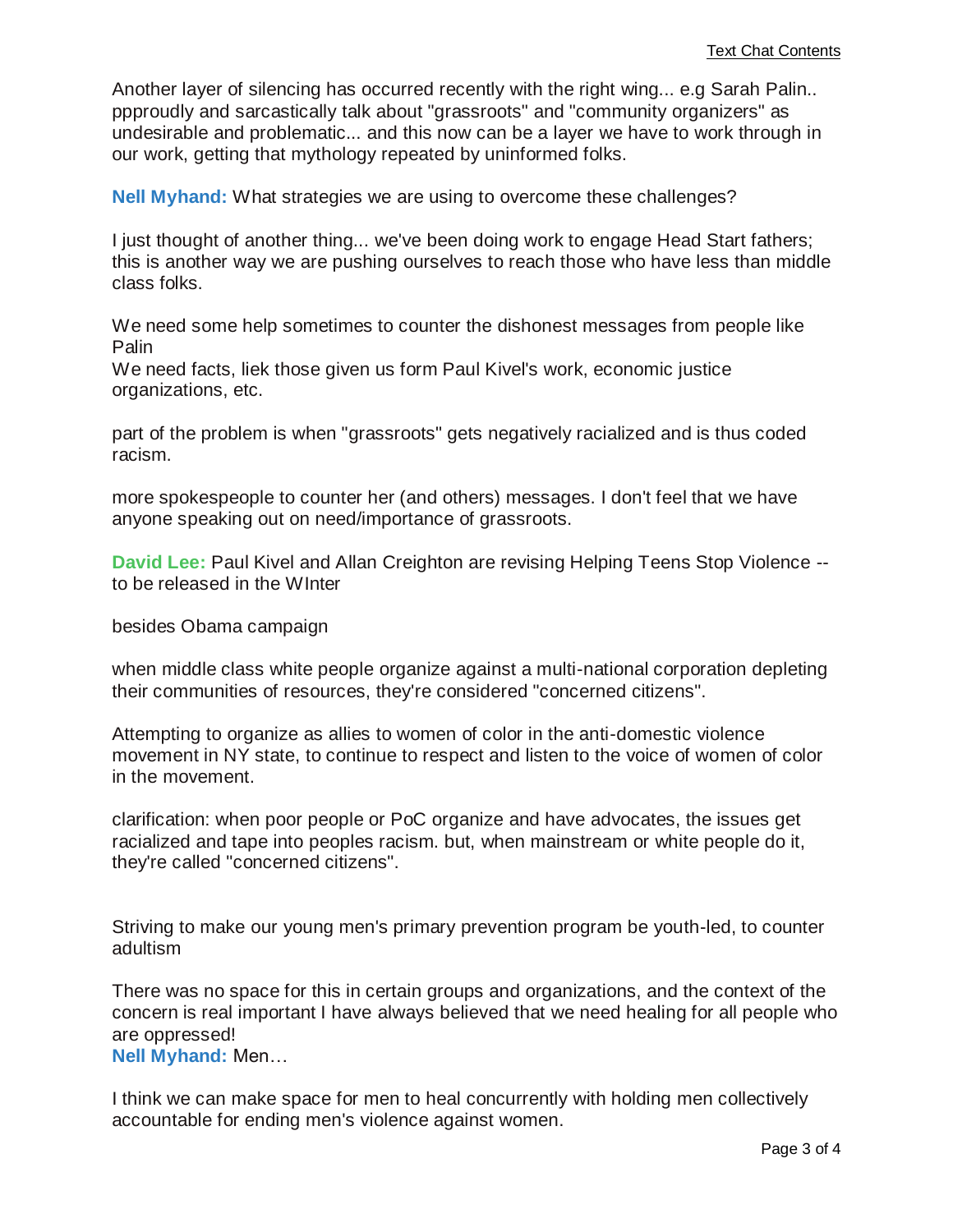Another layer of silencing has occurred recently with the right wing... e.g Sarah Palin.. ppproudly and sarcastically talk about "grassroots" and "community organizers" as undesirable and problematic... and this now can be a layer we have to work through in our work, getting that mythology repeated by uninformed folks.

**Nell Myhand:** What strategies we are using to overcome these challenges?

I just thought of another thing... we've been doing work to engage Head Start fathers; this is another way we are pushing ourselves to reach those who have less than middle class folks.

We need some help sometimes to counter the dishonest messages from people like Palin

We need facts, liek those given us form Paul Kivel's work, economic justice organizations, etc.

part of the problem is when "grassroots" gets negatively racialized and is thus coded racism.

more spokespeople to counter her (and others) messages. I don't feel that we have anyone speaking out on need/importance of grassroots.

**David Lee:** Paul Kivel and Allan Creighton are revising Helping Teens Stop Violence - to be released in the WInter

besides Obama campaign

when middle class white people organize against a multi-national corporation depleting their communities of resources, they're considered "concerned citizens".

Attempting to organize as allies to women of color in the anti-domestic violence movement in NY state, to continue to respect and listen to the voice of women of color in the movement.

clarification: when poor people or PoC organize and have advocates, the issues get racialized and tape into peoples racism. but, when mainstream or white people do it, they're called "concerned citizens".

Striving to make our young men's primary prevention program be youth-led, to counter adultism

There was no space for this in certain groups and organizations, and the context of the concern is real important I have always believed that we need healing for all people who are oppressed!

**Nell Myhand:** Men…

I think we can make space for men to heal concurrently with holding men collectively accountable for ending men's violence against women.